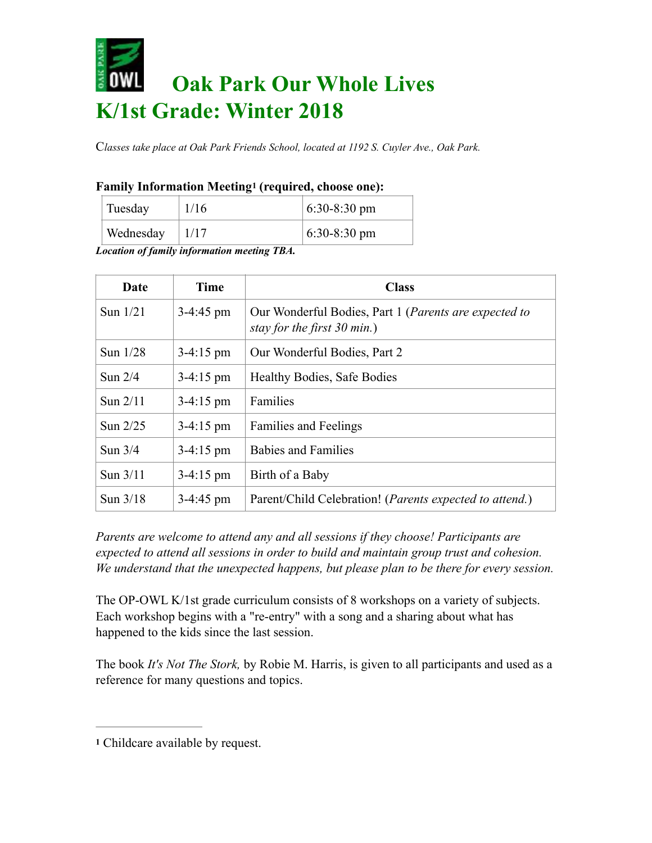# **Oak Park Our Whole Lives K/1st Grade: Winter 2018**

C*lasses take place at Oak Park Friends School, located at 1192 S. Cuyler Ave., Oak Park.* 

### **Family Information Meeting1 (required, choose one):**

| Tuesday   | 1/16 | $6:30-8:30$ pm |
|-----------|------|----------------|
| Wednesday | 1/17 | $6:30-8:30$ pm |

*Location of family information meeting TBA.*

| Date       | <b>Time</b>         | <b>Class</b>                                                                           |
|------------|---------------------|----------------------------------------------------------------------------------------|
| Sun $1/21$ | $3-4:45$ pm         | Our Wonderful Bodies, Part 1 (Parents are expected to<br>stay for the first $30$ min.) |
| Sun $1/28$ | $3-4:15 \text{ pm}$ | Our Wonderful Bodies, Part 2                                                           |
| Sun $2/4$  | $3-4:15 \text{ pm}$ | <b>Healthy Bodies, Safe Bodies</b>                                                     |
| Sun $2/11$ | $3-4:15 \text{ pm}$ | Families                                                                               |
| Sun $2/25$ | $3-4:15 \text{ pm}$ | <b>Families and Feelings</b>                                                           |
| Sun $3/4$  | $3-4:15 \text{ pm}$ | <b>Babies and Families</b>                                                             |
| Sun $3/11$ | $3-4:15 \text{ pm}$ | Birth of a Baby                                                                        |
| Sun $3/18$ | $3-4:45$ pm         | Parent/Child Celebration! ( <i>Parents expected to attend.</i> )                       |

*Parents are welcome to attend any and all sessions if they choose! Participants are expected to attend all sessions in order to build and maintain group trust and cohesion. We understand that the unexpected happens, but please plan to be there for every session.* 

The OP-OWL K/1st grade curriculum consists of 8 workshops on a variety of subjects. Each workshop begins with a "re-entry" with a song and a sharing about what has happened to the kids since the last session.

The book *It's Not The Stork,* by Robie M. Harris, is given to all participants and used as a reference for many questions and topics.

**<sup>1</sup>** Childcare available by request.